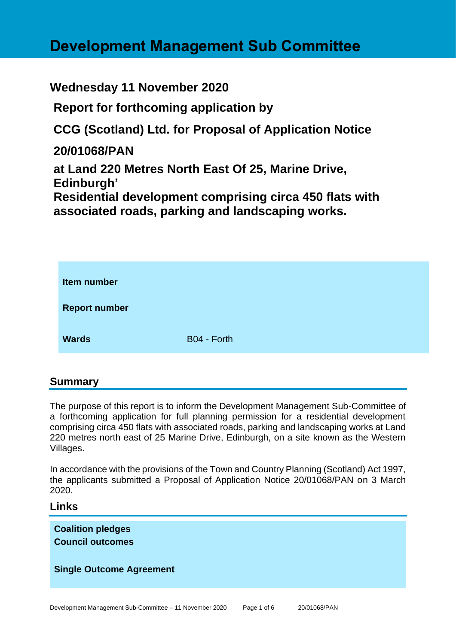# **Development Management Sub Committee**

# **Wednesday 11 November 2020**

**Report for forthcoming application by**

**CCG (Scotland) Ltd. for Proposal of Application Notice** 

**20/01068/PAN**

**at Land 220 Metres North East Of 25, Marine Drive, Edinburgh'**

**Residential development comprising circa 450 flats with associated roads, parking and landscaping works.**

| Item number          |             |
|----------------------|-------------|
| <b>Report number</b> |             |
| <b>Wards</b>         | B04 - Forth |

# **Summary**

The purpose of this report is to inform the Development Management Sub-Committee of a forthcoming application for full planning permission for a residential development comprising circa 450 flats with associated roads, parking and landscaping works at Land 220 metres north east of 25 Marine Drive, Edinburgh, on a site known as the Western Villages.

In accordance with the provisions of the Town and Country Planning (Scotland) Act 1997, the applicants submitted a Proposal of Application Notice 20/01068/PAN on 3 March 2020.

# **Links**

**Coalition pledges Council outcomes**

#### **Single Outcome Agreement**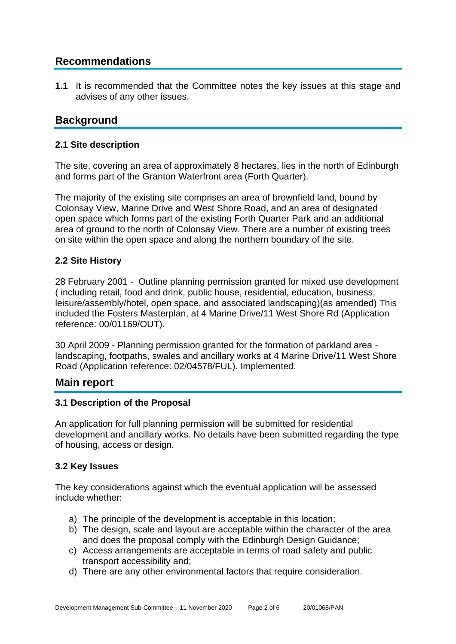# **Recommendations**

**1.1** It is recommended that the Committee notes the key issues at this stage and advises of any other issues.

# **Background**

#### **2.1 Site description**

The site, covering an area of approximately 8 hectares, lies in the north of Edinburgh and forms part of the Granton Waterfront area (Forth Quarter).

The majority of the existing site comprises an area of brownfield land, bound by Colonsay View, Marine Drive and West Shore Road, and an area of designated open space which forms part of the existing Forth Quarter Park and an additional area of ground to the north of Colonsay View. There are a number of existing trees on site within the open space and along the northern boundary of the site.

# **2.2 Site History**

28 February 2001 - Outline planning permission granted for mixed use development ( including retail, food and drink, public house, residential, education, business, leisure/assembly/hotel, open space, and associated landscaping)(as amended) This included the Fosters Masterplan, at 4 Marine Drive/11 West Shore Rd (Application reference: 00/01169/OUT).

30 April 2009 - Planning permission granted for the formation of parkland area landscaping, footpaths, swales and ancillary works at 4 Marine Drive/11 West Shore Road (Application reference: 02/04578/FUL). Implemented.

# **Main report**

#### **3.1 Description of the Proposal**

An application for full planning permission will be submitted for residential development and ancillary works. No details have been submitted regarding the type of housing, access or design.

#### **3.2 Key Issues**

The key considerations against which the eventual application will be assessed include whether:

- a) The principle of the development is acceptable in this location;
- b) The design, scale and layout are acceptable within the character of the area and does the proposal comply with the Edinburgh Design Guidance;
- c) Access arrangements are acceptable in terms of road safety and public transport accessibility and;
- d) There are any other environmental factors that require consideration.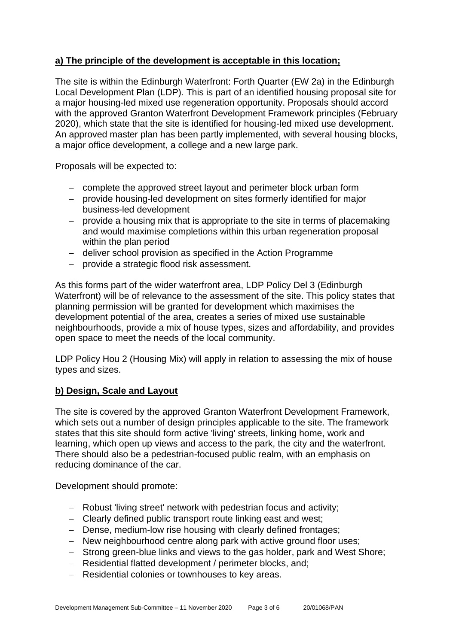## **a) The principle of the development is acceptable in this location;**

The site is within the Edinburgh Waterfront: Forth Quarter (EW 2a) in the Edinburgh Local Development Plan (LDP). This is part of an identified housing proposal site for a major housing-led mixed use regeneration opportunity. Proposals should accord with the approved Granton Waterfront Development Framework principles (February 2020), which state that the site is identified for housing-led mixed use development. An approved master plan has been partly implemented, with several housing blocks, a major office development, a college and a new large park.

Proposals will be expected to:

- − complete the approved street layout and perimeter block urban form
- − provide housing-led development on sites formerly identified for major business-led development
- − provide a housing mix that is appropriate to the site in terms of placemaking and would maximise completions within this urban regeneration proposal within the plan period
- − deliver school provision as specified in the Action Programme
- − provide a strategic flood risk assessment.

As this forms part of the wider waterfront area, LDP Policy Del 3 (Edinburgh Waterfront) will be of relevance to the assessment of the site. This policy states that planning permission will be granted for development which maximises the development potential of the area, creates a series of mixed use sustainable neighbourhoods, provide a mix of house types, sizes and affordability, and provides open space to meet the needs of the local community.

LDP Policy Hou 2 (Housing Mix) will apply in relation to assessing the mix of house types and sizes.

#### **b) Design, Scale and Layout**

The site is covered by the approved Granton Waterfront Development Framework, which sets out a number of design principles applicable to the site. The framework states that this site should form active 'living' streets, linking home, work and learning, which open up views and access to the park, the city and the waterfront. There should also be a pedestrian-focused public realm, with an emphasis on reducing dominance of the car.

Development should promote:

- − Robust 'living street' network with pedestrian focus and activity;
- − Clearly defined public transport route linking east and west;
- − Dense, medium-low rise housing with clearly defined frontages;
- − New neighbourhood centre along park with active ground floor uses;
- − Strong green-blue links and views to the gas holder, park and West Shore;
- − Residential flatted development / perimeter blocks, and;
- − Residential colonies or townhouses to key areas.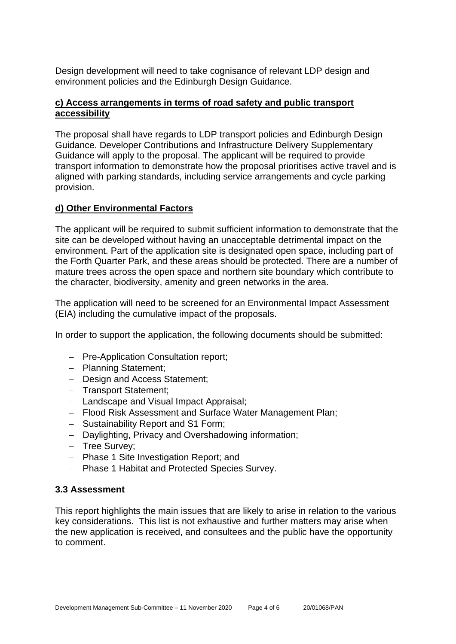Design development will need to take cognisance of relevant LDP design and environment policies and the Edinburgh Design Guidance.

#### **c) Access arrangements in terms of road safety and public transport accessibility**

The proposal shall have regards to LDP transport policies and Edinburgh Design Guidance. Developer Contributions and Infrastructure Delivery Supplementary Guidance will apply to the proposal. The applicant will be required to provide transport information to demonstrate how the proposal prioritises active travel and is aligned with parking standards, including service arrangements and cycle parking provision.

#### **d) Other Environmental Factors**

The applicant will be required to submit sufficient information to demonstrate that the site can be developed without having an unacceptable detrimental impact on the environment. Part of the application site is designated open space, including part of the Forth Quarter Park, and these areas should be protected. There are a number of mature trees across the open space and northern site boundary which contribute to the character, biodiversity, amenity and green networks in the area.

The application will need to be screened for an Environmental Impact Assessment (EIA) including the cumulative impact of the proposals.

In order to support the application, the following documents should be submitted:

- − Pre-Application Consultation report;
- − Planning Statement;
- − Design and Access Statement;
- − Transport Statement;
- − Landscape and Visual Impact Appraisal;
- − Flood Risk Assessment and Surface Water Management Plan;
- − Sustainability Report and S1 Form;
- − Daylighting, Privacy and Overshadowing information;
- − Tree Survey;
- − Phase 1 Site Investigation Report; and
- − Phase 1 Habitat and Protected Species Survey.

#### **3.3 Assessment**

This report highlights the main issues that are likely to arise in relation to the various key considerations. This list is not exhaustive and further matters may arise when the new application is received, and consultees and the public have the opportunity to comment.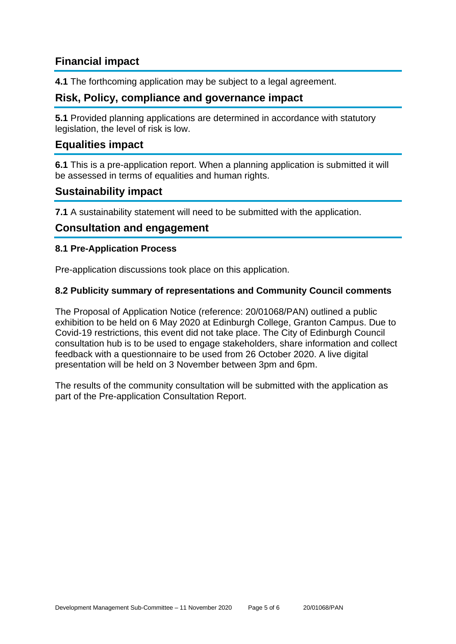# **Financial impact**

**4.1** The forthcoming application may be subject to a legal agreement.

# **Risk, Policy, compliance and governance impact**

**5.1** Provided planning applications are determined in accordance with statutory legislation, the level of risk is low.

# **Equalities impact**

**6.1** This is a pre-application report. When a planning application is submitted it will be assessed in terms of equalities and human rights.

# **Sustainability impact**

**7.1** A sustainability statement will need to be submitted with the application.

### **Consultation and engagement**

#### **8.1 Pre-Application Process**

Pre-application discussions took place on this application.

#### **8.2 Publicity summary of representations and Community Council comments**

The Proposal of Application Notice (reference: 20/01068/PAN) outlined a public exhibition to be held on 6 May 2020 at Edinburgh College, Granton Campus. Due to Covid-19 restrictions, this event did not take place. The City of Edinburgh Council consultation hub is to be used to engage stakeholders, share information and collect feedback with a questionnaire to be used from 26 October 2020. A live digital presentation will be held on 3 November between 3pm and 6pm.

The results of the community consultation will be submitted with the application as part of the Pre-application Consultation Report.